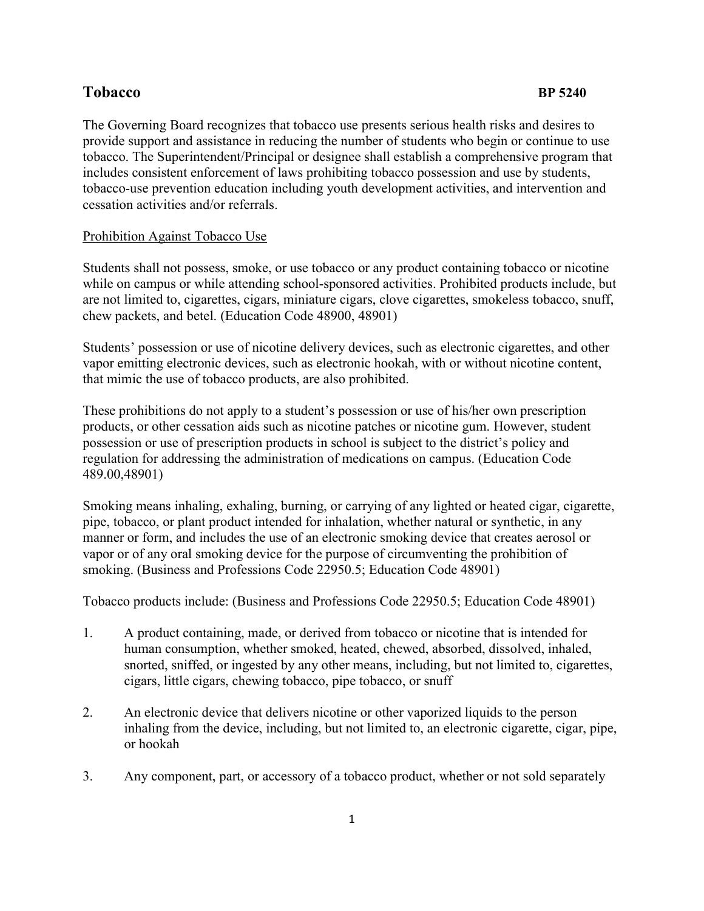# **Tobacco** BP 5240

The Governing Board recognizes that tobacco use presents serious health risks and desires to provide support and assistance in reducing the number of students who begin or continue to use tobacco. The Superintendent/Principal or designee shall establish a comprehensive program that includes consistent enforcement of laws prohibiting tobacco possession and use by students, tobacco-use prevention education including youth development activities, and intervention and cessation activities and/or referrals.

## Prohibition Against Tobacco Use

Students shall not possess, smoke, or use tobacco or any product containing tobacco or nicotine while on campus or while attending school-sponsored activities. Prohibited products include, but are not limited to, cigarettes, cigars, miniature cigars, clove cigarettes, smokeless tobacco, snuff, chew packets, and betel. (Education Code 48900, 48901)

Students' possession or use of nicotine delivery devices, such as electronic cigarettes, and other vapor emitting electronic devices, such as electronic hookah, with or without nicotine content, that mimic the use of tobacco products, are also prohibited.

These prohibitions do not apply to a student's possession or use of his/her own prescription products, or other cessation aids such as nicotine patches or nicotine gum. However, student possession or use of prescription products in school is subject to the district's policy and regulation for addressing the administration of medications on campus. (Education Code 489.00,48901)

Smoking means inhaling, exhaling, burning, or carrying of any lighted or heated cigar, cigarette, pipe, tobacco, or plant product intended for inhalation, whether natural or synthetic, in any manner or form, and includes the use of an electronic smoking device that creates aerosol or vapor or of any oral smoking device for the purpose of circumventing the prohibition of smoking. (Business and Professions Code 22950.5; Education Code 48901)

Tobacco products include: (Business and Professions Code 22950.5; Education Code 48901)

- 1. A product containing, made, or derived from tobacco or nicotine that is intended for human consumption, whether smoked, heated, chewed, absorbed, dissolved, inhaled, snorted, sniffed, or ingested by any other means, including, but not limited to, cigarettes, cigars, little cigars, chewing tobacco, pipe tobacco, or snuff
- 2. An electronic device that delivers nicotine or other vaporized liquids to the person inhaling from the device, including, but not limited to, an electronic cigarette, cigar, pipe, or hookah
- 3. Any component, part, or accessory of a tobacco product, whether or not sold separately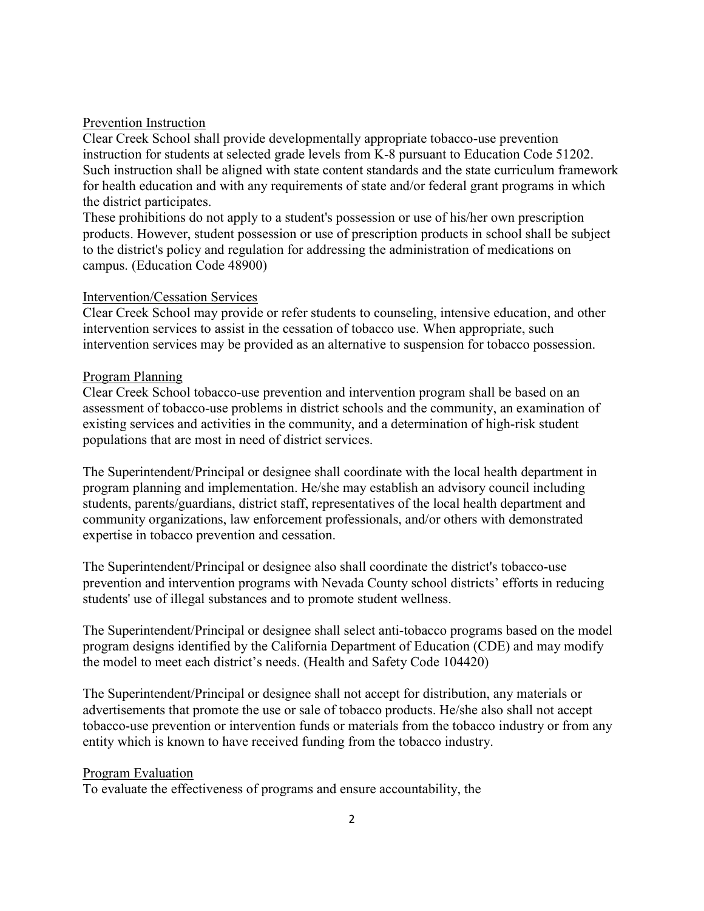### Prevention Instruction

Clear Creek School shall provide developmentally appropriate tobacco-use prevention instruction for students at selected grade levels from K-8 pursuant to Education Code 51202. Such instruction shall be aligned with state content standards and the state curriculum framework for health education and with any requirements of state and/or federal grant programs in which the district participates.

These prohibitions do not apply to a student's possession or use of his/her own prescription products. However, student possession or use of prescription products in school shall be subject to the district's policy and regulation for addressing the administration of medications on campus. (Education Code 48900)

#### Intervention/Cessation Services

Clear Creek School may provide or refer students to counseling, intensive education, and other intervention services to assist in the cessation of tobacco use. When appropriate, such intervention services may be provided as an alternative to suspension for tobacco possession.

#### Program Planning

Clear Creek School tobacco-use prevention and intervention program shall be based on an assessment of tobacco-use problems in district schools and the community, an examination of existing services and activities in the community, and a determination of high-risk student populations that are most in need of district services.

The Superintendent/Principal or designee shall coordinate with the local health department in program planning and implementation. He/she may establish an advisory council including students, parents/guardians, district staff, representatives of the local health department and community organizations, law enforcement professionals, and/or others with demonstrated expertise in tobacco prevention and cessation.

The Superintendent/Principal or designee also shall coordinate the district's tobacco-use prevention and intervention programs with Nevada County school districts' efforts in reducing students' use of illegal substances and to promote student wellness.

The Superintendent/Principal or designee shall select anti-tobacco programs based on the model program designs identified by the California Department of Education (CDE) and may modify the model to meet each district's needs. (Health and Safety Code 104420)

The Superintendent/Principal or designee shall not accept for distribution, any materials or advertisements that promote the use or sale of tobacco products. He/she also shall not accept tobacco-use prevention or intervention funds or materials from the tobacco industry or from any entity which is known to have received funding from the tobacco industry.

#### Program Evaluation

To evaluate the effectiveness of programs and ensure accountability, the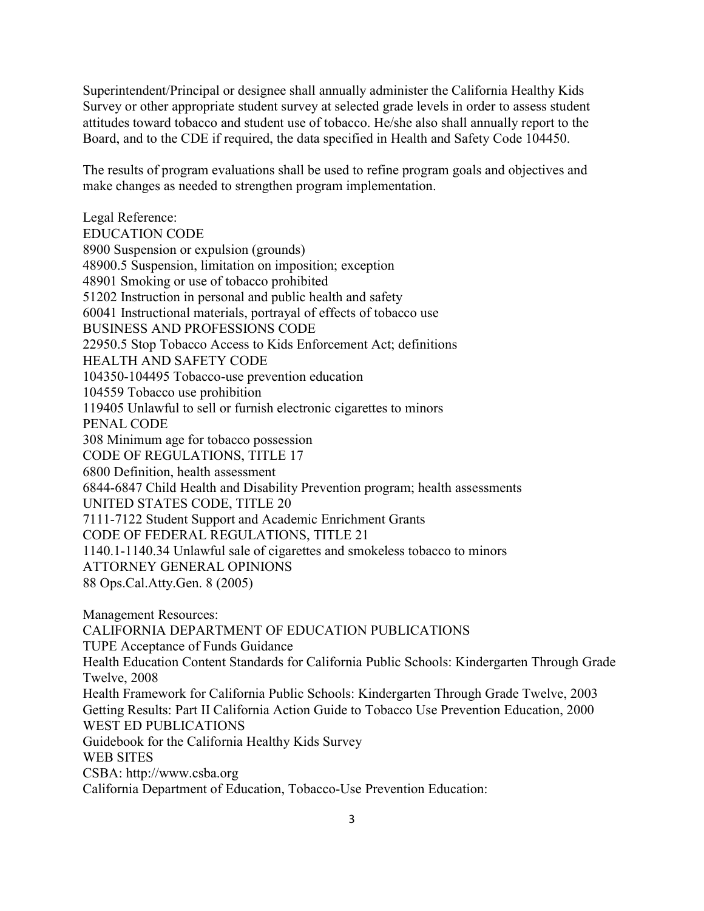Superintendent/Principal or designee shall annually administer the California Healthy Kids Survey or other appropriate student survey at selected grade levels in order to assess student attitudes toward tobacco and student use of tobacco. He/she also shall annually report to the Board, and to the CDE if required, the data specified in Health and Safety Code 104450.

The results of program evaluations shall be used to refine program goals and objectives and make changes as needed to strengthen program implementation.

Legal Reference: EDUCATION CODE 8900 Suspension or expulsion (grounds) 48900.5 Suspension, limitation on imposition; exception 48901 Smoking or use of tobacco prohibited 51202 Instruction in personal and public health and safety 60041 Instructional materials, portrayal of effects of tobacco use BUSINESS AND PROFESSIONS CODE 22950.5 Stop Tobacco Access to Kids Enforcement Act; definitions HEALTH AND SAFETY CODE 104350-104495 Tobacco-use prevention education 104559 Tobacco use prohibition 119405 Unlawful to sell or furnish electronic cigarettes to minors PENAL CODE 308 Minimum age for tobacco possession CODE OF REGULATIONS, TITLE 17 6800 Definition, health assessment 6844-6847 Child Health and Disability Prevention program; health assessments UNITED STATES CODE, TITLE 20 7111-7122 Student Support and Academic Enrichment Grants CODE OF FEDERAL REGULATIONS, TITLE 21 1140.1-1140.34 Unlawful sale of cigarettes and smokeless tobacco to minors ATTORNEY GENERAL OPINIONS 88 Ops.Cal.Atty.Gen. 8 (2005)

Management Resources: CALIFORNIA DEPARTMENT OF EDUCATION PUBLICATIONS TUPE Acceptance of Funds Guidance Health Education Content Standards for California Public Schools: Kindergarten Through Grade Twelve, 2008 Health Framework for California Public Schools: Kindergarten Through Grade Twelve, 2003 Getting Results: Part II California Action Guide to Tobacco Use Prevention Education, 2000 WEST ED PUBLICATIONS Guidebook for the California Healthy Kids Survey WEB SITES CSBA: http://www.csba.org California Department of Education, Tobacco-Use Prevention Education: